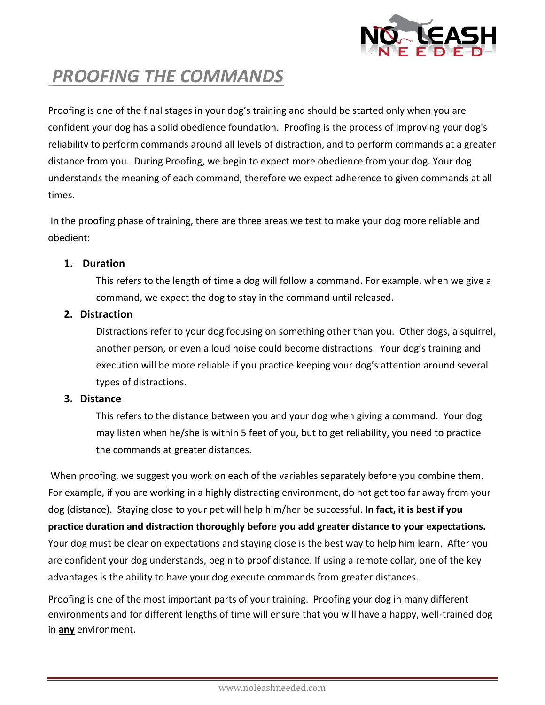

## *PROOFING THE COMMANDS*

Proofing is one of the final stages in your dog's training and should be started only when you are confident your dog has a solid obedience foundation. Proofing is the process of improving your dog's reliability to perform commands around all levels of distraction, and to perform commands at a greater distance from you. During Proofing, we begin to expect more obedience from your dog. Your dog understands the meaning of each command, therefore we expect adherence to given commands at all times.

In the proofing phase of training, there are three areas we test to make your dog more reliable and obedient:

### **1. Duration**

This refers to the length of time a dog will follow a command. For example, when we give a command, we expect the dog to stay in the command until released.

### **2. Distraction**

Distractions refer to your dog focusing on something other than you. Other dogs, a squirrel, another person, or even a loud noise could become distractions. Your dog's training and execution will be more reliable if you practice keeping your dog's attention around several types of distractions.

#### **3. Distance**

This refers to the distance between you and your dog when giving a command. Your dog may listen when he/she is within 5 feet of you, but to get reliability, you need to practice the commands at greater distances.

When proofing, we suggest you work on each of the variables separately before you combine them. For example, if you are working in a highly distracting environment, do not get too far away from your dog (distance). Staying close to your pet will help him/her be successful. **In fact, it is best if you practice duration and distraction thoroughly before you add greater distance to your expectations.** Your dog must be clear on expectations and staying close is the best way to help him learn. After you are confident your dog understands, begin to proof distance. If using a remote collar, one of the key advantages is the ability to have your dog execute commands from greater distances.

Proofing is one of the most important parts of your training. Proofing your dog in many different environments and for different lengths of time will ensure that you will have a happy, well-trained dog in **any** environment.